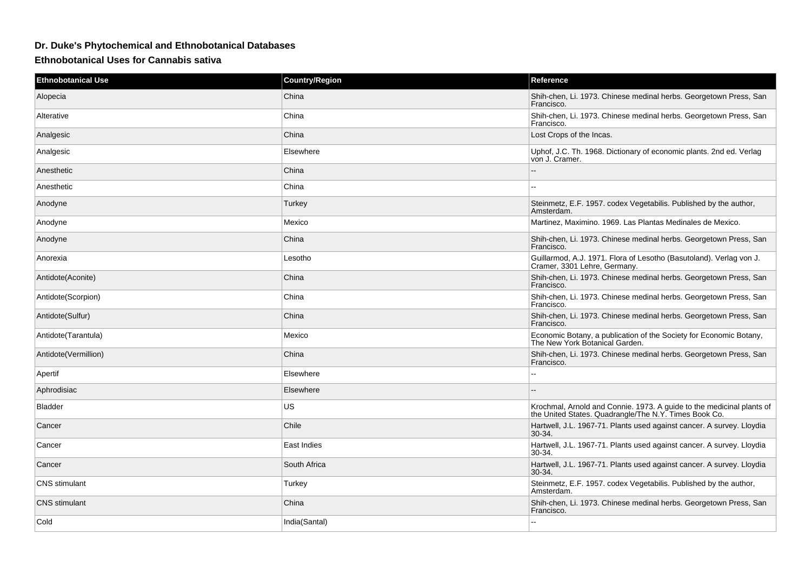## **Dr. Duke's Phytochemical and Ethnobotanical Databases**

**Ethnobotanical Uses for Cannabis sativa**

| <b>Ethnobotanical Use</b> | <b>Country/Region</b> | Reference                                                                                                                      |
|---------------------------|-----------------------|--------------------------------------------------------------------------------------------------------------------------------|
| Alopecia                  | China                 | Shih-chen, Li. 1973. Chinese medinal herbs. Georgetown Press, San<br>Francisco.                                                |
| Alterative                | China                 | Shih-chen, Li. 1973. Chinese medinal herbs. Georgetown Press, San<br>Francisco.                                                |
| Analgesic                 | China                 | Lost Crops of the Incas.                                                                                                       |
| Analgesic                 | Elsewhere             | Uphof, J.C. Th. 1968. Dictionary of economic plants. 2nd ed. Verlag<br>von J. Cramer.                                          |
| Anesthetic                | China                 |                                                                                                                                |
| Anesthetic                | China                 | $-$                                                                                                                            |
| Anodyne                   | Turkey                | Steinmetz, E.F. 1957. codex Vegetabilis. Published by the author,<br>Amsterdam.                                                |
| Anodyne                   | Mexico                | Martinez, Maximino. 1969. Las Plantas Medinales de Mexico.                                                                     |
| Anodyne                   | China                 | Shih-chen, Li. 1973. Chinese medinal herbs. Georgetown Press, San<br>Francisco.                                                |
| Anorexia                  | Lesotho               | Guillarmod, A.J. 1971. Flora of Lesotho (Basutoland). Verlag von J.<br>Cramer, 3301 Lehre, Germany.                            |
| Antidote(Aconite)         | China                 | Shih-chen, Li. 1973. Chinese medinal herbs. Georgetown Press, San<br>Francisco.                                                |
| Antidote(Scorpion)        | China                 | Shih-chen, Li. 1973. Chinese medinal herbs. Georgetown Press, San<br>Francisco.                                                |
| Antidote(Sulfur)          | China                 | Shih-chen, Li. 1973. Chinese medinal herbs. Georgetown Press, San<br>Francisco.                                                |
| Antidote(Tarantula)       | Mexico                | Economic Botany, a publication of the Society for Economic Botany,<br>The New York Botanical Garden.                           |
| Antidote(Vermillion)      | China                 | Shih-chen, Li. 1973. Chinese medinal herbs. Georgetown Press, San<br>Francisco.                                                |
| Apertif                   | Elsewhere             | $\sim$                                                                                                                         |
| Aphrodisiac               | Elsewhere             |                                                                                                                                |
| <b>Bladder</b>            | <b>US</b>             | Krochmal, Arnold and Connie. 1973. A guide to the medicinal plants of<br>the United States. Quadrangle/The N.Y. Times Book Co. |
| Cancer                    | Chile                 | Hartwell, J.L. 1967-71. Plants used against cancer. A survey. Lloydia<br>$30-34.$                                              |
| Cancer                    | East Indies           | Hartwell, J.L. 1967-71. Plants used against cancer. A survey. Lloydia<br>30-34.                                                |
| Cancer                    | South Africa          | Hartwell, J.L. 1967-71. Plants used against cancer. A survey. Lloydia<br>$30-34.$                                              |
| <b>CNS</b> stimulant      | Turkey                | Steinmetz, E.F. 1957. codex Vegetabilis. Published by the author,<br>Amsterdam.                                                |
| <b>CNS</b> stimulant      | China                 | Shih-chen, Li. 1973. Chinese medinal herbs. Georgetown Press, San<br>Francisco.                                                |
| Cold                      | India(Santal)         |                                                                                                                                |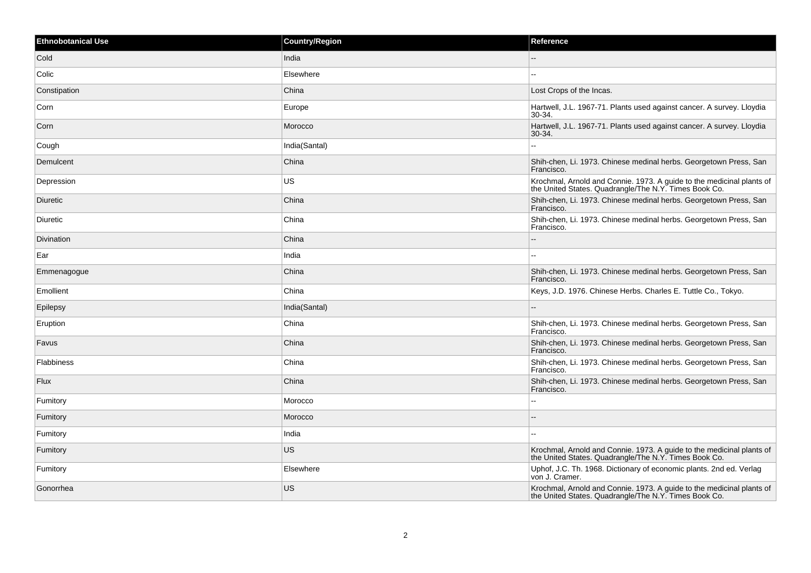| <b>Ethnobotanical Use</b> | <b>Country/Region</b> | Reference                                                                                                                      |
|---------------------------|-----------------------|--------------------------------------------------------------------------------------------------------------------------------|
| Cold                      | India                 |                                                                                                                                |
| Colic                     | Elsewhere             |                                                                                                                                |
| Constipation              | China                 | Lost Crops of the Incas.                                                                                                       |
| Corn                      | Europe                | Hartwell, J.L. 1967-71. Plants used against cancer. A survey. Lloydia<br>$30-34.$                                              |
| Corn                      | Morocco               | Hartwell, J.L. 1967-71. Plants used against cancer. A survey. Lloydia<br>30-34.                                                |
| Cough                     | India(Santal)         |                                                                                                                                |
| Demulcent                 | China                 | Shih-chen, Li. 1973. Chinese medinal herbs. Georgetown Press, San<br>Francisco.                                                |
| Depression                | <b>US</b>             | Krochmal, Arnold and Connie. 1973. A guide to the medicinal plants of<br>the United States. Quadrangle/The N.Y. Times Book Co. |
| Diuretic                  | China                 | Shih-chen, Li. 1973. Chinese medinal herbs. Georgetown Press, San<br>Francisco.                                                |
| Diuretic                  | China                 | Shih-chen, Li. 1973. Chinese medinal herbs. Georgetown Press, San<br>Francisco.                                                |
| Divination                | China                 |                                                                                                                                |
| Ear                       | India                 |                                                                                                                                |
| Emmenagogue               | China                 | Shih-chen, Li. 1973. Chinese medinal herbs. Georgetown Press, San<br>Francisco.                                                |
| Emollient                 | China                 | Keys, J.D. 1976. Chinese Herbs. Charles E. Tuttle Co., Tokyo.                                                                  |
| Epilepsy                  | India(Santal)         |                                                                                                                                |
| Eruption                  | China                 | Shih-chen, Li. 1973. Chinese medinal herbs. Georgetown Press, San<br>Francisco.                                                |
| Favus                     | China                 | Shih-chen, Li. 1973. Chinese medinal herbs. Georgetown Press, San<br>Francisco.                                                |
| Flabbiness                | China                 | Shih-chen, Li. 1973. Chinese medinal herbs. Georgetown Press, San<br>Francisco.                                                |
| <b>Flux</b>               | China                 | Shih-chen, Li. 1973. Chinese medinal herbs. Georgetown Press, San<br>Francisco.                                                |
| Fumitory                  | Morocco               |                                                                                                                                |
| Fumitory                  | Morocco               |                                                                                                                                |
| Fumitory                  | India                 | Ξ.                                                                                                                             |
| Fumitory                  | <b>US</b>             | Krochmal, Arnold and Connie. 1973. A guide to the medicinal plants of the United States. Quadrangle/The N.Y. Times Book Co.    |
| Fumitory                  | Elsewhere             | Uphof, J.C. Th. 1968. Dictionary of economic plants. 2nd ed. Verlag<br>von J. Cramer.                                          |
| Gonorrhea                 | <b>US</b>             | Krochmal, Arnold and Connie. 1973. A guide to the medicinal plants of<br>the United States. Quadrangle/The N.Y. Times Book Co. |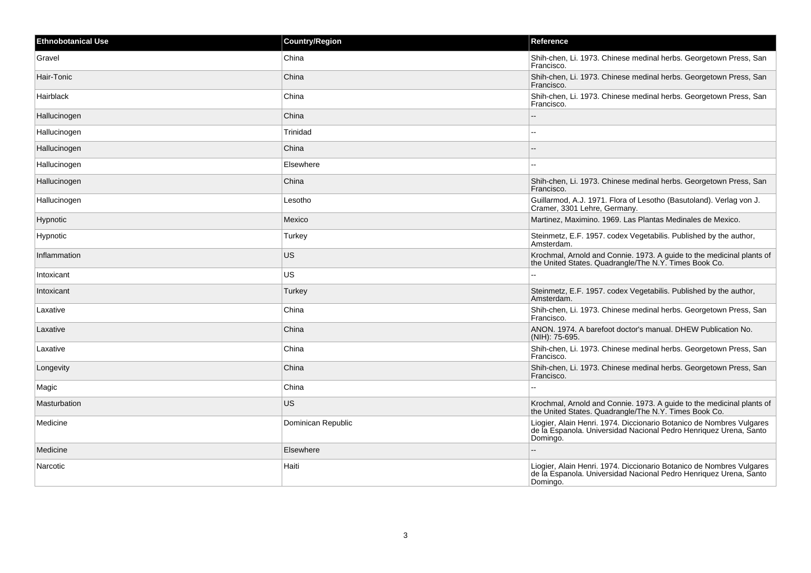| <b>Ethnobotanical Use</b> | <b>Country/Region</b> | <b>Reference</b>                                                                                                                                      |
|---------------------------|-----------------------|-------------------------------------------------------------------------------------------------------------------------------------------------------|
| Gravel                    | China                 | Shih-chen, Li. 1973. Chinese medinal herbs. Georgetown Press, San<br>Francisco.                                                                       |
| Hair-Tonic                | China                 | Shih-chen, Li. 1973. Chinese medinal herbs. Georgetown Press, San<br>Francisco.                                                                       |
| Hairblack                 | China                 | Shih-chen, Li. 1973. Chinese medinal herbs. Georgetown Press, San<br>Francisco.                                                                       |
| Hallucinogen              | China                 |                                                                                                                                                       |
| Hallucinogen              | Trinidad              |                                                                                                                                                       |
| Hallucinogen              | China                 |                                                                                                                                                       |
| Hallucinogen              | Elsewhere             |                                                                                                                                                       |
| Hallucinogen              | China                 | Shih-chen, Li. 1973. Chinese medinal herbs. Georgetown Press, San<br>Francisco.                                                                       |
| Hallucinogen              | Lesotho               | Guillarmod, A.J. 1971. Flora of Lesotho (Basutoland). Verlag von J.<br>Cramer, 3301 Lehre, Germany.                                                   |
| Hypnotic                  | Mexico                | Martinez, Maximino. 1969. Las Plantas Medinales de Mexico.                                                                                            |
| Hypnotic                  | Turkey                | Steinmetz, E.F. 1957. codex Vegetabilis. Published by the author,<br>Amsterdam.                                                                       |
| Inflammation              | <b>US</b>             | Krochmal, Arnold and Connie. 1973. A guide to the medicinal plants of<br>the United States. Quadrangle/The N.Y. Times Book Co.                        |
| Intoxicant                | US.                   |                                                                                                                                                       |
| Intoxicant                | Turkey                | Steinmetz, E.F. 1957. codex Vegetabilis. Published by the author,<br>Amsterdam.                                                                       |
| Laxative                  | China                 | Shih-chen, Li. 1973. Chinese medinal herbs. Georgetown Press, San<br>Francisco.                                                                       |
| Laxative                  | China                 | ANON. 1974. A barefoot doctor's manual. DHEW Publication No.<br>(NIH): 75-695.                                                                        |
| Laxative                  | China                 | Shih-chen, Li. 1973. Chinese medinal herbs. Georgetown Press, San<br>Francisco.                                                                       |
| Longevity                 | China                 | Shih-chen, Li. 1973. Chinese medinal herbs. Georgetown Press, San<br>Francisco.                                                                       |
| Magic                     | China                 | $\overline{a}$                                                                                                                                        |
| <b>Masturbation</b>       | US.                   | Krochmal, Arnold and Connie. 1973. A guide to the medicinal plants of the United States. Quadrangle/The N.Y. Times Book Co.                           |
| Medicine                  | Dominican Republic    | Liogier, Alain Henri. 1974. Diccionario Botanico de Nombres Vulgares<br>de la Espanola. Universidad Nacional Pedro Henriquez Urena, Santo<br>Domingo. |
| Medicine                  | Elsewhere             |                                                                                                                                                       |
| Narcotic                  | Haiti                 | Liogier, Alain Henri. 1974. Diccionario Botanico de Nombres Vulgares<br>de la Espanola. Universidad Nacional Pedro Henriquez Urena, Santo<br>Domingo. |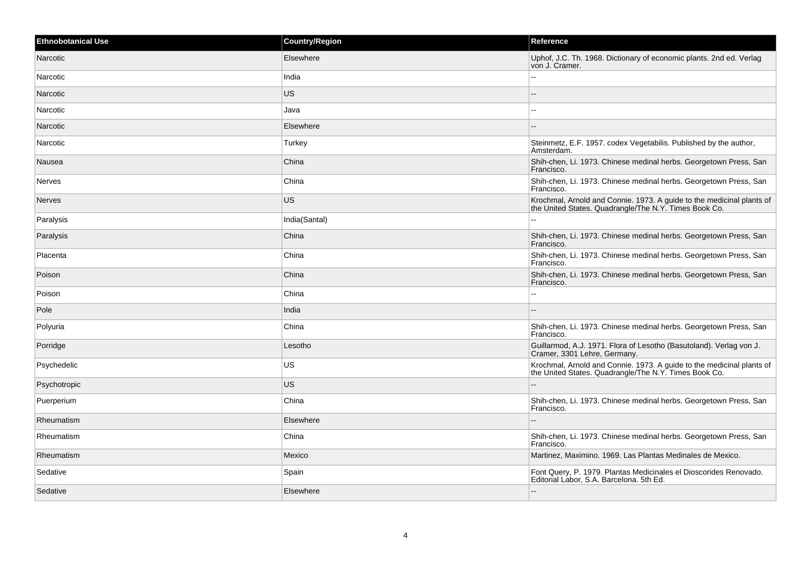| <b>Ethnobotanical Use</b> | <b>Country/Region</b> | Reference                                                                                                                      |
|---------------------------|-----------------------|--------------------------------------------------------------------------------------------------------------------------------|
| Narcotic                  | Elsewhere             | Uphof, J.C. Th. 1968. Dictionary of economic plants. 2nd ed. Verlag<br>von J. Cramer.                                          |
| Narcotic                  | India                 | $\overline{a}$                                                                                                                 |
| Narcotic                  | <b>US</b>             |                                                                                                                                |
| Narcotic                  | Java                  |                                                                                                                                |
| Narcotic                  | Elsewhere             |                                                                                                                                |
| Narcotic                  | Turkey                | Steinmetz, E.F. 1957. codex Vegetabilis. Published by the author,<br>Amsterdam.                                                |
| Nausea                    | China                 | Shih-chen, Li. 1973. Chinese medinal herbs. Georgetown Press, San<br>Francisco.                                                |
| Nerves                    | China                 | Shih-chen, Li. 1973. Chinese medinal herbs. Georgetown Press, San<br>Francisco.                                                |
| <b>Nerves</b>             | <b>US</b>             | Krochmal, Arnold and Connie. 1973. A guide to the medicinal plants of the United States. Quadrangle/The N.Y. Times Book Co.    |
| Paralysis                 | India(Santal)         |                                                                                                                                |
| Paralysis                 | China                 | Shih-chen, Li. 1973. Chinese medinal herbs. Georgetown Press, San<br>Francisco.                                                |
| Placenta                  | China                 | Shih-chen, Li. 1973. Chinese medinal herbs. Georgetown Press, San<br>Francisco.                                                |
| Poison                    | China                 | Shih-chen, Li. 1973. Chinese medinal herbs. Georgetown Press, San<br>Francisco.                                                |
| Poison                    | China                 |                                                                                                                                |
| Pole                      | India                 | --                                                                                                                             |
| Polyuria                  | China                 | Shih-chen, Li. 1973. Chinese medinal herbs. Georgetown Press, San<br>Francisco.                                                |
| Porridge                  | Lesotho               | Guillarmod, A.J. 1971. Flora of Lesotho (Basutoland). Verlag von J.<br>Cramer, 3301 Lehre, Germany.                            |
| Psychedelic               | US                    | Krochmal, Arnold and Connie. 1973. A guide to the medicinal plants of<br>the United States. Quadrangle/The N.Y. Times Book Co. |
| Psychotropic              | <b>US</b>             | $\sim$                                                                                                                         |
| Puerperium                | China                 | Shih-chen, Li. 1973. Chinese medinal herbs. Georgetown Press, San<br>Francisco.                                                |
| Rheumatism                | Elsewhere             |                                                                                                                                |
| Rheumatism                | China                 | Shih-chen, Li. 1973. Chinese medinal herbs. Georgetown Press, San<br>Francisco.                                                |
| Rheumatism                | Mexico                | Martinez, Maximino. 1969. Las Plantas Medinales de Mexico.                                                                     |
| Sedative                  | Spain                 | Font Query, P. 1979. Plantas Medicinales el Dioscorides Renovado.<br>Editorial Labor, S.A. Barcelona. 5th Ed.                  |
| Sedative                  | Elsewhere             | $\overline{\phantom{a}}$                                                                                                       |